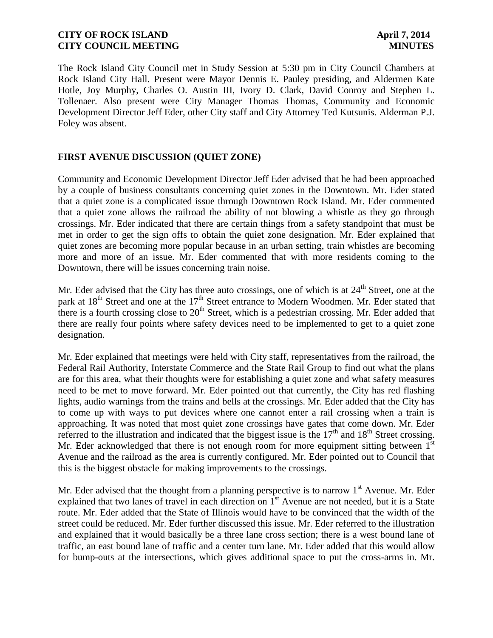The Rock Island City Council met in Study Session at 5:30 pm in City Council Chambers at Rock Island City Hall. Present were Mayor Dennis E. Pauley presiding, and Aldermen Kate Hotle, Joy Murphy, Charles O. Austin III, Ivory D. Clark, David Conroy and Stephen L. Tollenaer. Also present were City Manager Thomas Thomas, Community and Economic Development Director Jeff Eder, other City staff and City Attorney Ted Kutsunis. Alderman P.J. Foley was absent.

## **FIRST AVENUE DISCUSSION (QUIET ZONE)**

Community and Economic Development Director Jeff Eder advised that he had been approached by a couple of business consultants concerning quiet zones in the Downtown. Mr. Eder stated that a quiet zone is a complicated issue through Downtown Rock Island. Mr. Eder commented that a quiet zone allows the railroad the ability of not blowing a whistle as they go through crossings. Mr. Eder indicated that there are certain things from a safety standpoint that must be met in order to get the sign offs to obtain the quiet zone designation. Mr. Eder explained that quiet zones are becoming more popular because in an urban setting, train whistles are becoming more and more of an issue. Mr. Eder commented that with more residents coming to the Downtown, there will be issues concerning train noise.

Mr. Eder advised that the City has three auto crossings, one of which is at  $24<sup>th</sup>$  Street, one at the park at 18<sup>th</sup> Street and one at the 17<sup>th</sup> Street entrance to Modern Woodmen. Mr. Eder stated that there is a fourth crossing close to  $20<sup>th</sup>$  Street, which is a pedestrian crossing. Mr. Eder added that there are really four points where safety devices need to be implemented to get to a quiet zone designation.

Mr. Eder explained that meetings were held with City staff, representatives from the railroad, the Federal Rail Authority, Interstate Commerce and the State Rail Group to find out what the plans are for this area, what their thoughts were for establishing a quiet zone and what safety measures need to be met to move forward. Mr. Eder pointed out that currently, the City has red flashing lights, audio warnings from the trains and bells at the crossings. Mr. Eder added that the City has to come up with ways to put devices where one cannot enter a rail crossing when a train is approaching. It was noted that most quiet zone crossings have gates that come down. Mr. Eder referred to the illustration and indicated that the biggest issue is the  $17<sup>th</sup>$  and  $18<sup>th</sup>$  Street crossing. Mr. Eder acknowledged that there is not enough room for more equipment sitting between  $1<sup>st</sup>$ Avenue and the railroad as the area is currently configured. Mr. Eder pointed out to Council that this is the biggest obstacle for making improvements to the crossings.

Mr. Eder advised that the thought from a planning perspective is to narrow  $1<sup>st</sup>$  Avenue. Mr. Eder explained that two lanes of travel in each direction on 1<sup>st</sup> Avenue are not needed, but it is a State route. Mr. Eder added that the State of Illinois would have to be convinced that the width of the street could be reduced. Mr. Eder further discussed this issue. Mr. Eder referred to the illustration and explained that it would basically be a three lane cross section; there is a west bound lane of traffic, an east bound lane of traffic and a center turn lane. Mr. Eder added that this would allow for bump-outs at the intersections, which gives additional space to put the cross-arms in. Mr.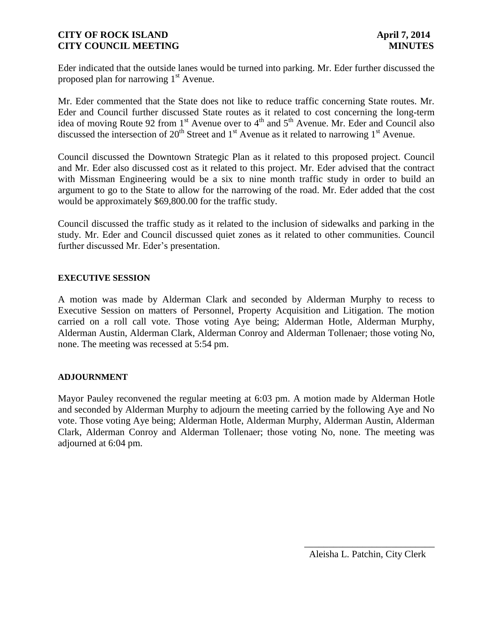Eder indicated that the outside lanes would be turned into parking. Mr. Eder further discussed the proposed plan for narrowing  $1<sup>st</sup>$  Avenue.

Mr. Eder commented that the State does not like to reduce traffic concerning State routes. Mr. Eder and Council further discussed State routes as it related to cost concerning the long-term idea of moving Route 92 from  $1<sup>st</sup>$  Avenue over to  $4<sup>th</sup>$  and  $5<sup>th</sup>$  Avenue. Mr. Eder and Council also discussed the intersection of 20<sup>th</sup> Street and 1<sup>st</sup> Avenue as it related to narrowing 1<sup>st</sup> Avenue.

Council discussed the Downtown Strategic Plan as it related to this proposed project. Council and Mr. Eder also discussed cost as it related to this project. Mr. Eder advised that the contract with Missman Engineering would be a six to nine month traffic study in order to build an argument to go to the State to allow for the narrowing of the road. Mr. Eder added that the cost would be approximately \$69,800.00 for the traffic study.

Council discussed the traffic study as it related to the inclusion of sidewalks and parking in the study. Mr. Eder and Council discussed quiet zones as it related to other communities. Council further discussed Mr. Eder's presentation.

#### **EXECUTIVE SESSION**

A motion was made by Alderman Clark and seconded by Alderman Murphy to recess to Executive Session on matters of Personnel, Property Acquisition and Litigation. The motion carried on a roll call vote. Those voting Aye being; Alderman Hotle, Alderman Murphy, Alderman Austin, Alderman Clark, Alderman Conroy and Alderman Tollenaer; those voting No, none. The meeting was recessed at 5:54 pm.

#### **ADJOURNMENT**

Mayor Pauley reconvened the regular meeting at 6:03 pm. A motion made by Alderman Hotle and seconded by Alderman Murphy to adjourn the meeting carried by the following Aye and No vote. Those voting Aye being; Alderman Hotle, Alderman Murphy, Alderman Austin, Alderman Clark, Alderman Conroy and Alderman Tollenaer; those voting No, none. The meeting was adjourned at 6:04 pm.

 $\frac{1}{2}$  , and the set of the set of the set of the set of the set of the set of the set of the set of the set of the set of the set of the set of the set of the set of the set of the set of the set of the set of the set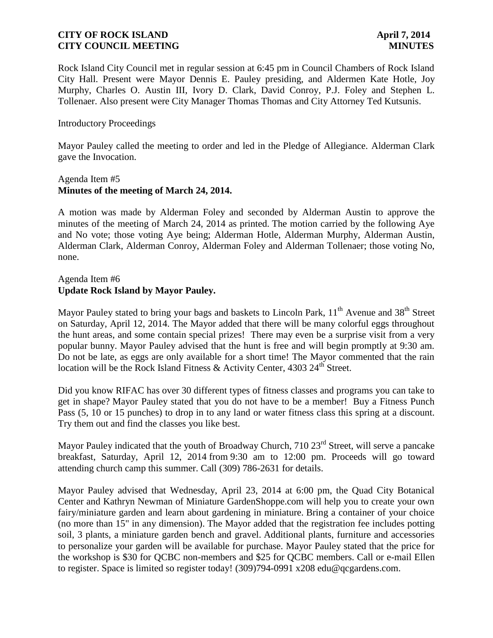Rock Island City Council met in regular session at 6:45 pm in Council Chambers of Rock Island City Hall. Present were Mayor Dennis E. Pauley presiding, and Aldermen Kate Hotle, Joy Murphy, Charles O. Austin III, Ivory D. Clark, David Conroy, P.J. Foley and Stephen L. Tollenaer. Also present were City Manager Thomas Thomas and City Attorney Ted Kutsunis.

#### Introductory Proceedings

Mayor Pauley called the meeting to order and led in the Pledge of Allegiance. Alderman Clark gave the Invocation.

#### Agenda Item #5 **Minutes of the meeting of March 24, 2014.**

A motion was made by Alderman Foley and seconded by Alderman Austin to approve the minutes of the meeting of March 24, 2014 as printed. The motion carried by the following Aye and No vote; those voting Aye being; Alderman Hotle, Alderman Murphy, Alderman Austin, Alderman Clark, Alderman Conroy, Alderman Foley and Alderman Tollenaer; those voting No, none.

# Agenda Item #6 **Update Rock Island by Mayor Pauley.**

Mayor Pauley stated to bring your bags and baskets to Lincoln Park,  $11<sup>th</sup>$  Avenue and 38<sup>th</sup> Street on Saturday, April 12, 2014. The Mayor added that there will be many colorful eggs throughout the hunt areas, and some contain special prizes! There may even be a surprise visit from a very popular bunny. Mayor Pauley advised that the hunt is free and will begin promptly at 9:30 am. Do not be late, as eggs are only available for a short time! The Mayor commented that the rain location will be the Rock Island Fitness & Activity Center, 4303 24<sup>th</sup> Street.

Did you know RIFAC has over 30 different types of fitness classes and programs you can take to get in shape? Mayor Pauley stated that you do not have to be a member! Buy a Fitness Punch Pass (5, 10 or 15 punches) to drop in to any land or water fitness class this spring at a discount. Try them out and find the classes you like best.

Mayor Pauley indicated that the youth of Broadway Church, 710 23<sup>rd</sup> Street, will serve a pancake breakfast, Saturday, April 12, 2014 from 9:30 am to 12:00 pm. Proceeds will go toward attending church camp this summer. Call (309) 786-2631 for details.

Mayor Pauley advised that Wednesday, April 23, 2014 at 6:00 pm, the Quad City Botanical Center and Kathryn Newman of Miniature GardenShoppe.com will help you to create your own fairy/miniature garden and learn about gardening in miniature. Bring a container of your choice (no more than 15" in any dimension). The Mayor added that the registration fee includes potting soil, 3 plants, a miniature garden bench and gravel. Additional plants, furniture and accessories to personalize your garden will be available for purchase. Mayor Pauley stated that the price for the workshop is \$30 for QCBC non-members and \$25 for QCBC members. Call or e-mail Ellen to register. Space is limited so register today! (309)794-0991 x208 edu@qcgardens.com.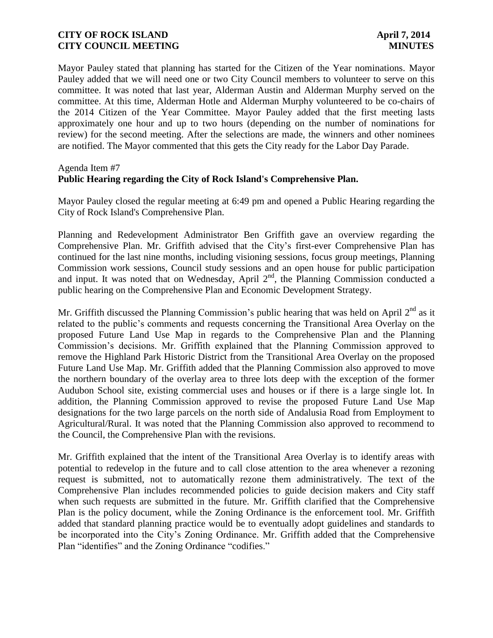Mayor Pauley stated that planning has started for the Citizen of the Year nominations. Mayor Pauley added that we will need one or two City Council members to volunteer to serve on this committee. It was noted that last year, Alderman Austin and Alderman Murphy served on the committee. At this time, Alderman Hotle and Alderman Murphy volunteered to be co-chairs of the 2014 Citizen of the Year Committee. Mayor Pauley added that the first meeting lasts approximately one hour and up to two hours (depending on the number of nominations for review) for the second meeting. After the selections are made, the winners and other nominees are notified. The Mayor commented that this gets the City ready for the Labor Day Parade.

#### Agenda Item #7

# **Public Hearing regarding the City of Rock Island's Comprehensive Plan.**

Mayor Pauley closed the regular meeting at 6:49 pm and opened a Public Hearing regarding the City of Rock Island's Comprehensive Plan.

Planning and Redevelopment Administrator Ben Griffith gave an overview regarding the Comprehensive Plan. Mr. Griffith advised that the City's first-ever Comprehensive Plan has continued for the last nine months, including visioning sessions, focus group meetings, Planning Commission work sessions, Council study sessions and an open house for public participation and input. It was noted that on Wednesday, April  $2<sup>nd</sup>$ , the Planning Commission conducted a public hearing on the Comprehensive Plan and Economic Development Strategy.

Mr. Griffith discussed the Planning Commission's public hearing that was held on April  $2<sup>nd</sup>$  as it related to the public's comments and requests concerning the Transitional Area Overlay on the proposed Future Land Use Map in regards to the Comprehensive Plan and the Planning Commission's decisions. Mr. Griffith explained that the Planning Commission approved to remove the Highland Park Historic District from the Transitional Area Overlay on the proposed Future Land Use Map. Mr. Griffith added that the Planning Commission also approved to move the northern boundary of the overlay area to three lots deep with the exception of the former Audubon School site, existing commercial uses and houses or if there is a large single lot. In addition, the Planning Commission approved to revise the proposed Future Land Use Map designations for the two large parcels on the north side of Andalusia Road from Employment to Agricultural/Rural. It was noted that the Planning Commission also approved to recommend to the Council, the Comprehensive Plan with the revisions.

Mr. Griffith explained that the intent of the Transitional Area Overlay is to identify areas with potential to redevelop in the future and to call close attention to the area whenever a rezoning request is submitted, not to automatically rezone them administratively. The text of the Comprehensive Plan includes recommended policies to guide decision makers and City staff when such requests are submitted in the future. Mr. Griffith clarified that the Comprehensive Plan is the policy document, while the Zoning Ordinance is the enforcement tool. Mr. Griffith added that standard planning practice would be to eventually adopt guidelines and standards to be incorporated into the City's Zoning Ordinance. Mr. Griffith added that the Comprehensive Plan "identifies" and the Zoning Ordinance "codifies."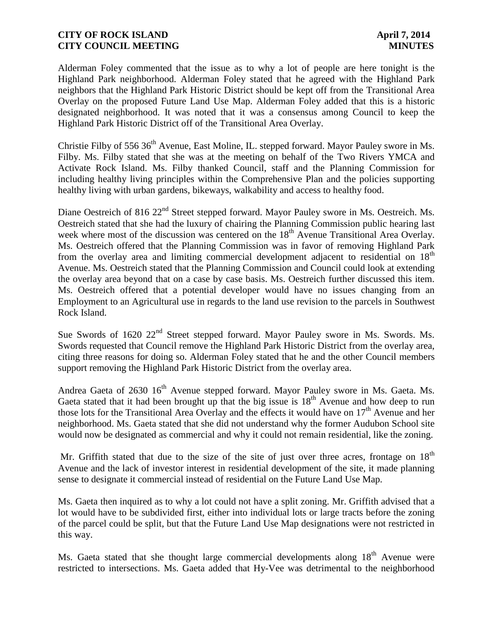Alderman Foley commented that the issue as to why a lot of people are here tonight is the Highland Park neighborhood. Alderman Foley stated that he agreed with the Highland Park neighbors that the Highland Park Historic District should be kept off from the Transitional Area Overlay on the proposed Future Land Use Map. Alderman Foley added that this is a historic designated neighborhood. It was noted that it was a consensus among Council to keep the Highland Park Historic District off of the Transitional Area Overlay.

Christie Filby of 556 36<sup>th</sup> Avenue, East Moline, IL. stepped forward. Mayor Pauley swore in Ms. Filby. Ms. Filby stated that she was at the meeting on behalf of the Two Rivers YMCA and Activate Rock Island. Ms. Filby thanked Council, staff and the Planning Commission for including healthy living principles within the Comprehensive Plan and the policies supporting healthy living with urban gardens, bikeways, walkability and access to healthy food.

Diane Oestreich of 816 22<sup>nd</sup> Street stepped forward. Mayor Pauley swore in Ms. Oestreich. Ms. Oestreich stated that she had the luxury of chairing the Planning Commission public hearing last week where most of the discussion was centered on the 18<sup>th</sup> Avenue Transitional Area Overlay. Ms. Oestreich offered that the Planning Commission was in favor of removing Highland Park from the overlay area and limiting commercial development adjacent to residential on 18<sup>th</sup> Avenue. Ms. Oestreich stated that the Planning Commission and Council could look at extending the overlay area beyond that on a case by case basis. Ms. Oestreich further discussed this item. Ms. Oestreich offered that a potential developer would have no issues changing from an Employment to an Agricultural use in regards to the land use revision to the parcels in Southwest Rock Island.

Sue Swords of 1620 22<sup>nd</sup> Street stepped forward. Mayor Pauley swore in Ms. Swords. Ms. Swords requested that Council remove the Highland Park Historic District from the overlay area, citing three reasons for doing so. Alderman Foley stated that he and the other Council members support removing the Highland Park Historic District from the overlay area.

Andrea Gaeta of 2630 16<sup>th</sup> Avenue stepped forward. Mayor Pauley swore in Ms. Gaeta. Ms. Gaeta stated that it had been brought up that the big issue is  $18<sup>th</sup>$  Avenue and how deep to run those lots for the Transitional Area Overlay and the effects it would have on  $17<sup>th</sup>$  Avenue and her neighborhood. Ms. Gaeta stated that she did not understand why the former Audubon School site would now be designated as commercial and why it could not remain residential, like the zoning.

Mr. Griffith stated that due to the size of the site of just over three acres, frontage on  $18<sup>th</sup>$ Avenue and the lack of investor interest in residential development of the site, it made planning sense to designate it commercial instead of residential on the Future Land Use Map.

Ms. Gaeta then inquired as to why a lot could not have a split zoning. Mr. Griffith advised that a lot would have to be subdivided first, either into individual lots or large tracts before the zoning of the parcel could be split, but that the Future Land Use Map designations were not restricted in this way.

Ms. Gaeta stated that she thought large commercial developments along  $18<sup>th</sup>$  Avenue were restricted to intersections. Ms. Gaeta added that Hy-Vee was detrimental to the neighborhood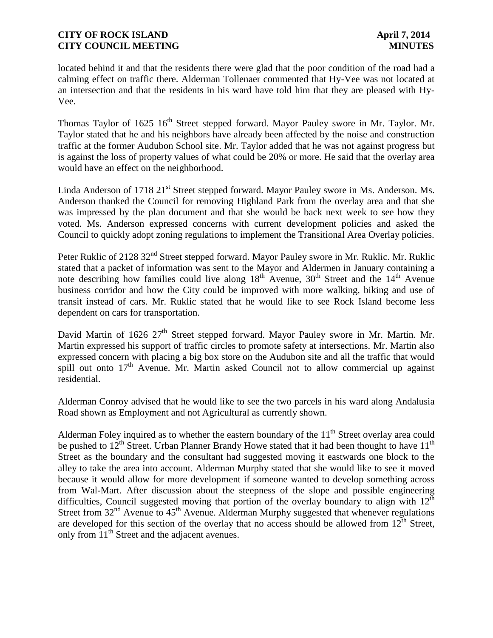located behind it and that the residents there were glad that the poor condition of the road had a calming effect on traffic there. Alderman Tollenaer commented that Hy-Vee was not located at an intersection and that the residents in his ward have told him that they are pleased with Hy-Vee.

Thomas Taylor of 1625 16<sup>th</sup> Street stepped forward. Mayor Pauley swore in Mr. Taylor. Mr. Taylor stated that he and his neighbors have already been affected by the noise and construction traffic at the former Audubon School site. Mr. Taylor added that he was not against progress but is against the loss of property values of what could be 20% or more. He said that the overlay area would have an effect on the neighborhood.

Linda Anderson of 1718 21<sup>st</sup> Street stepped forward. Mayor Pauley swore in Ms. Anderson. Ms. Anderson thanked the Council for removing Highland Park from the overlay area and that she was impressed by the plan document and that she would be back next week to see how they voted. Ms. Anderson expressed concerns with current development policies and asked the Council to quickly adopt zoning regulations to implement the Transitional Area Overlay policies.

Peter Ruklic of 2128 32<sup>nd</sup> Street stepped forward. Mayor Pauley swore in Mr. Ruklic. Mr. Ruklic stated that a packet of information was sent to the Mayor and Aldermen in January containing a note describing how families could live along  $18<sup>th</sup>$  Avenue,  $30<sup>th</sup>$  Street and the  $14<sup>th</sup>$  Avenue business corridor and how the City could be improved with more walking, biking and use of transit instead of cars. Mr. Ruklic stated that he would like to see Rock Island become less dependent on cars for transportation.

David Martin of 1626 27<sup>th</sup> Street stepped forward. Mayor Pauley swore in Mr. Martin. Mr. Martin expressed his support of traffic circles to promote safety at intersections. Mr. Martin also expressed concern with placing a big box store on the Audubon site and all the traffic that would spill out onto  $17<sup>th</sup>$  Avenue. Mr. Martin asked Council not to allow commercial up against residential.

Alderman Conroy advised that he would like to see the two parcels in his ward along Andalusia Road shown as Employment and not Agricultural as currently shown.

Alderman Foley inquired as to whether the eastern boundary of the  $11<sup>th</sup>$  Street overlay area could be pushed to  $12<sup>th</sup>$  Street. Urban Planner Brandy Howe stated that it had been thought to have  $11<sup>th</sup>$ Street as the boundary and the consultant had suggested moving it eastwards one block to the alley to take the area into account. Alderman Murphy stated that she would like to see it moved because it would allow for more development if someone wanted to develop something across from Wal-Mart. After discussion about the steepness of the slope and possible engineering difficulties, Council suggested moving that portion of the overlay boundary to align with  $12<sup>th</sup>$ Street from  $32<sup>nd</sup>$  Avenue to  $45<sup>th</sup>$  Avenue. Alderman Murphy suggested that whenever regulations are developed for this section of the overlay that no access should be allowed from  $12<sup>th</sup>$  Street, only from  $11<sup>th</sup>$  Street and the adjacent avenues.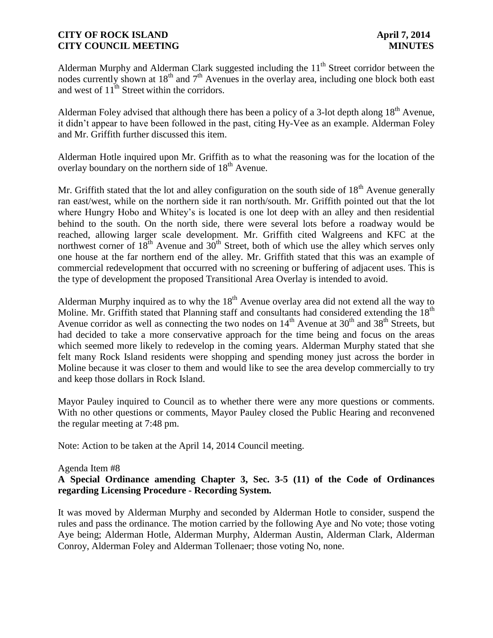Alderman Murphy and Alderman Clark suggested including the  $11<sup>th</sup>$  Street corridor between the nodes currently shown at  $18<sup>th</sup>$  and  $7<sup>th</sup>$  Avenues in the overlay area, including one block both east and west of  $11^{th}$  Street within the corridors.

Alderman Foley advised that although there has been a policy of a 3-lot depth along  $18<sup>th</sup>$  Avenue, it didn't appear to have been followed in the past, citing Hy-Vee as an example. Alderman Foley and Mr. Griffith further discussed this item.

Alderman Hotle inquired upon Mr. Griffith as to what the reasoning was for the location of the overlay boundary on the northern side of  $18<sup>th</sup>$  Avenue.

Mr. Griffith stated that the lot and alley configuration on the south side of  $18<sup>th</sup>$  Avenue generally ran east/west, while on the northern side it ran north/south. Mr. Griffith pointed out that the lot where Hungry Hobo and Whitey's is located is one lot deep with an alley and then residential behind to the south. On the north side, there were several lots before a roadway would be reached, allowing larger scale development. Mr. Griffith cited Walgreens and KFC at the northwest corner of  $18^{th}$  Avenue and  $30^{th}$  Street, both of which use the alley which serves only one house at the far northern end of the alley. Mr. Griffith stated that this was an example of commercial redevelopment that occurred with no screening or buffering of adjacent uses. This is the type of development the proposed Transitional Area Overlay is intended to avoid.

Alderman Murphy inquired as to why the  $18<sup>th</sup>$  Avenue overlay area did not extend all the way to Moline. Mr. Griffith stated that Planning staff and consultants had considered extending the 18<sup>th</sup> Avenue corridor as well as connecting the two nodes on  $14<sup>th</sup>$  Avenue at  $30<sup>th</sup>$  and  $38<sup>th</sup>$  Streets, but had decided to take a more conservative approach for the time being and focus on the areas which seemed more likely to redevelop in the coming years. Alderman Murphy stated that she felt many Rock Island residents were shopping and spending money just across the border in Moline because it was closer to them and would like to see the area develop commercially to try and keep those dollars in Rock Island.

Mayor Pauley inquired to Council as to whether there were any more questions or comments. With no other questions or comments, Mayor Pauley closed the Public Hearing and reconvened the regular meeting at 7:48 pm.

Note: Action to be taken at the April 14, 2014 Council meeting.

#### Agenda Item #8

# **A Special Ordinance amending Chapter 3, Sec. 3-5 (11) of the Code of Ordinances regarding Licensing Procedure - Recording System.**

It was moved by Alderman Murphy and seconded by Alderman Hotle to consider, suspend the rules and pass the ordinance. The motion carried by the following Aye and No vote; those voting Aye being; Alderman Hotle, Alderman Murphy, Alderman Austin, Alderman Clark, Alderman Conroy, Alderman Foley and Alderman Tollenaer; those voting No, none.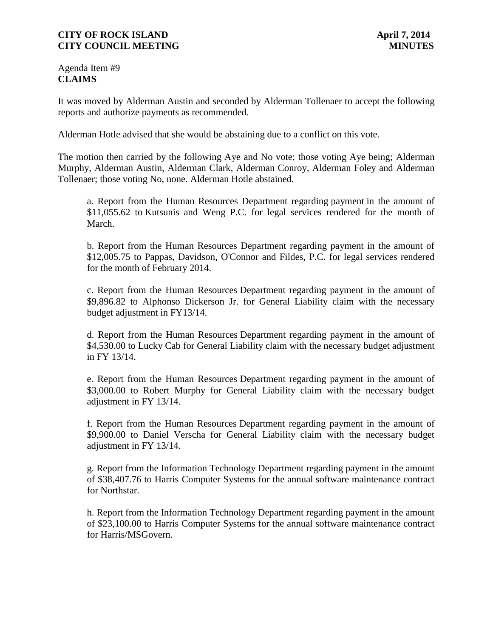Agenda Item #9 **CLAIMS**

It was moved by Alderman Austin and seconded by Alderman Tollenaer to accept the following reports and authorize payments as recommended.

Alderman Hotle advised that she would be abstaining due to a conflict on this vote.

The motion then carried by the following Aye and No vote; those voting Aye being; Alderman Murphy, Alderman Austin, Alderman Clark, Alderman Conroy, Alderman Foley and Alderman Tollenaer; those voting No, none. Alderman Hotle abstained.

a. Report from the Human Resources Department regarding payment in the amount of \$11,055.62 to Kutsunis and Weng P.C. for legal services rendered for the month of March.

b. Report from the Human Resources Department regarding payment in the amount of \$12,005.75 to Pappas, Davidson, O'Connor and Fildes, P.C. for legal services rendered for the month of February 2014.

c. Report from the Human Resources Department regarding payment in the amount of \$9,896.82 to Alphonso Dickerson Jr. for General Liability claim with the necessary budget adjustment in FY13/14.

d. Report from the Human Resources Department regarding payment in the amount of \$4,530.00 to Lucky Cab for General Liability claim with the necessary budget adjustment in FY 13/14.

e. Report from the Human Resources Department regarding payment in the amount of \$3,000.00 to Robert Murphy for General Liability claim with the necessary budget adjustment in FY 13/14.

f. Report from the Human Resources Department regarding payment in the amount of \$9,900.00 to Daniel Verscha for General Liability claim with the necessary budget adjustment in FY 13/14.

g. Report from the Information Technology Department regarding payment in the amount of \$38,407.76 to Harris Computer Systems for the annual software maintenance contract for Northstar.

h. Report from the Information Technology Department regarding payment in the amount of \$23,100.00 to Harris Computer Systems for the annual software maintenance contract for Harris/MSGovern.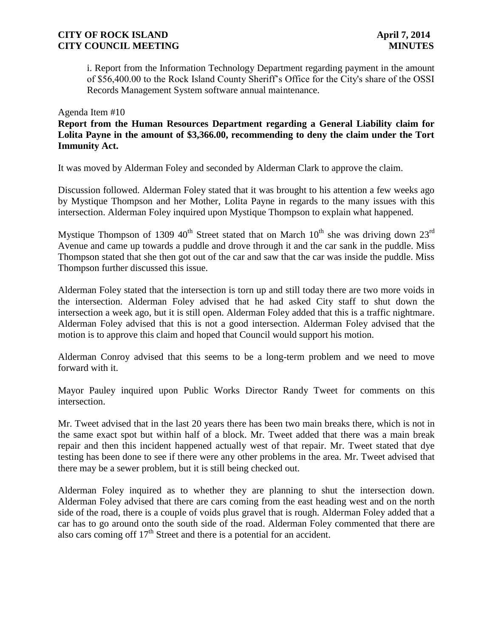i. Report from the Information Technology Department regarding payment in the amount of \$56,400.00 to the Rock Island County Sheriff's Office for the City's share of the OSSI Records Management System software annual maintenance.

#### Agenda Item #10

**Report from the Human Resources Department regarding a General Liability claim for Lolita Payne in the amount of \$3,366.00, recommending to deny the claim under the Tort Immunity Act.**

It was moved by Alderman Foley and seconded by Alderman Clark to approve the claim.

Discussion followed. Alderman Foley stated that it was brought to his attention a few weeks ago by Mystique Thompson and her Mother, Lolita Payne in regards to the many issues with this intersection. Alderman Foley inquired upon Mystique Thompson to explain what happened.

Mystique Thompson of 1309 40<sup>th</sup> Street stated that on March  $10^{th}$  she was driving down  $23^{rd}$ Avenue and came up towards a puddle and drove through it and the car sank in the puddle. Miss Thompson stated that she then got out of the car and saw that the car was inside the puddle. Miss Thompson further discussed this issue.

Alderman Foley stated that the intersection is torn up and still today there are two more voids in the intersection. Alderman Foley advised that he had asked City staff to shut down the intersection a week ago, but it is still open. Alderman Foley added that this is a traffic nightmare. Alderman Foley advised that this is not a good intersection. Alderman Foley advised that the motion is to approve this claim and hoped that Council would support his motion.

Alderman Conroy advised that this seems to be a long-term problem and we need to move forward with it.

Mayor Pauley inquired upon Public Works Director Randy Tweet for comments on this intersection.

Mr. Tweet advised that in the last 20 years there has been two main breaks there, which is not in the same exact spot but within half of a block. Mr. Tweet added that there was a main break repair and then this incident happened actually west of that repair. Mr. Tweet stated that dye testing has been done to see if there were any other problems in the area. Mr. Tweet advised that there may be a sewer problem, but it is still being checked out.

Alderman Foley inquired as to whether they are planning to shut the intersection down. Alderman Foley advised that there are cars coming from the east heading west and on the north side of the road, there is a couple of voids plus gravel that is rough. Alderman Foley added that a car has to go around onto the south side of the road. Alderman Foley commented that there are also cars coming off  $17<sup>th</sup>$  Street and there is a potential for an accident.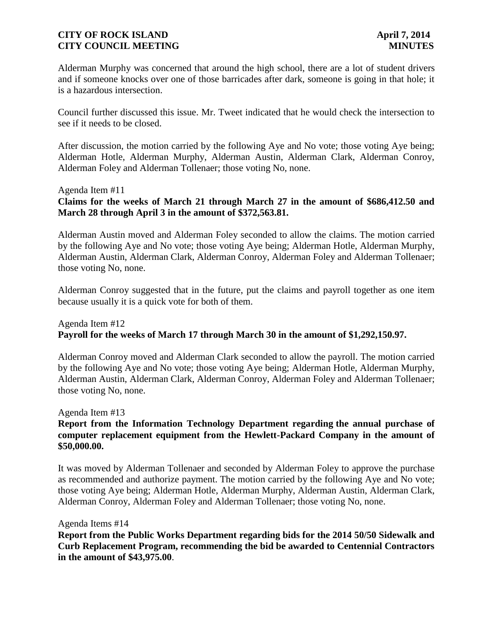Alderman Murphy was concerned that around the high school, there are a lot of student drivers and if someone knocks over one of those barricades after dark, someone is going in that hole; it is a hazardous intersection.

Council further discussed this issue. Mr. Tweet indicated that he would check the intersection to see if it needs to be closed.

After discussion, the motion carried by the following Aye and No vote; those voting Aye being; Alderman Hotle, Alderman Murphy, Alderman Austin, Alderman Clark, Alderman Conroy, Alderman Foley and Alderman Tollenaer; those voting No, none.

Agenda Item #11

**Claims for the weeks of March 21 through March 27 in the amount of \$686,412.50 and March 28 through April 3 in the amount of \$372,563.81.** 

Alderman Austin moved and Alderman Foley seconded to allow the claims. The motion carried by the following Aye and No vote; those voting Aye being; Alderman Hotle, Alderman Murphy, Alderman Austin, Alderman Clark, Alderman Conroy, Alderman Foley and Alderman Tollenaer; those voting No, none.

Alderman Conroy suggested that in the future, put the claims and payroll together as one item because usually it is a quick vote for both of them.

# Agenda Item #12 **Payroll for the weeks of March 17 through March 30 in the amount of \$1,292,150.97.**

Alderman Conroy moved and Alderman Clark seconded to allow the payroll. The motion carried by the following Aye and No vote; those voting Aye being; Alderman Hotle, Alderman Murphy, Alderman Austin, Alderman Clark, Alderman Conroy, Alderman Foley and Alderman Tollenaer; those voting No, none.

Agenda Item #13

## **Report from the Information Technology Department regarding the annual purchase of computer replacement equipment from the Hewlett-Packard Company in the amount of \$50,000.00.**

It was moved by Alderman Tollenaer and seconded by Alderman Foley to approve the purchase as recommended and authorize payment. The motion carried by the following Aye and No vote; those voting Aye being; Alderman Hotle, Alderman Murphy, Alderman Austin, Alderman Clark, Alderman Conroy, Alderman Foley and Alderman Tollenaer; those voting No, none.

Agenda Items #14

**Report from the Public Works Department regarding bids for the 2014 50/50 Sidewalk and Curb Replacement Program, recommending the bid be awarded to Centennial Contractors in the amount of \$43,975.00**.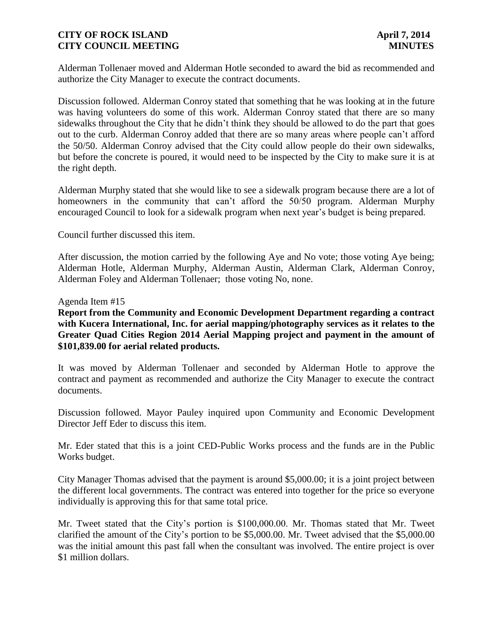Alderman Tollenaer moved and Alderman Hotle seconded to award the bid as recommended and authorize the City Manager to execute the contract documents.

Discussion followed. Alderman Conroy stated that something that he was looking at in the future was having volunteers do some of this work. Alderman Conroy stated that there are so many sidewalks throughout the City that he didn't think they should be allowed to do the part that goes out to the curb. Alderman Conroy added that there are so many areas where people can't afford the 50/50. Alderman Conroy advised that the City could allow people do their own sidewalks, but before the concrete is poured, it would need to be inspected by the City to make sure it is at the right depth.

Alderman Murphy stated that she would like to see a sidewalk program because there are a lot of homeowners in the community that can't afford the 50/50 program. Alderman Murphy encouraged Council to look for a sidewalk program when next year's budget is being prepared.

Council further discussed this item.

After discussion, the motion carried by the following Aye and No vote; those voting Aye being; Alderman Hotle, Alderman Murphy, Alderman Austin, Alderman Clark, Alderman Conroy, Alderman Foley and Alderman Tollenaer; those voting No, none.

#### Agenda Item #15

**Report from the Community and Economic Development Department regarding a contract with Kucera International, Inc. for aerial mapping/photography services as it relates to the Greater Quad Cities Region 2014 Aerial Mapping project and payment in the amount of \$101,839.00 for aerial related products.**

It was moved by Alderman Tollenaer and seconded by Alderman Hotle to approve the contract and payment as recommended and authorize the City Manager to execute the contract documents.

Discussion followed. Mayor Pauley inquired upon Community and Economic Development Director Jeff Eder to discuss this item.

Mr. Eder stated that this is a joint CED-Public Works process and the funds are in the Public Works budget.

City Manager Thomas advised that the payment is around \$5,000.00; it is a joint project between the different local governments. The contract was entered into together for the price so everyone individually is approving this for that same total price.

Mr. Tweet stated that the City's portion is \$100,000.00. Mr. Thomas stated that Mr. Tweet clarified the amount of the City's portion to be \$5,000.00. Mr. Tweet advised that the \$5,000.00 was the initial amount this past fall when the consultant was involved. The entire project is over \$1 million dollars.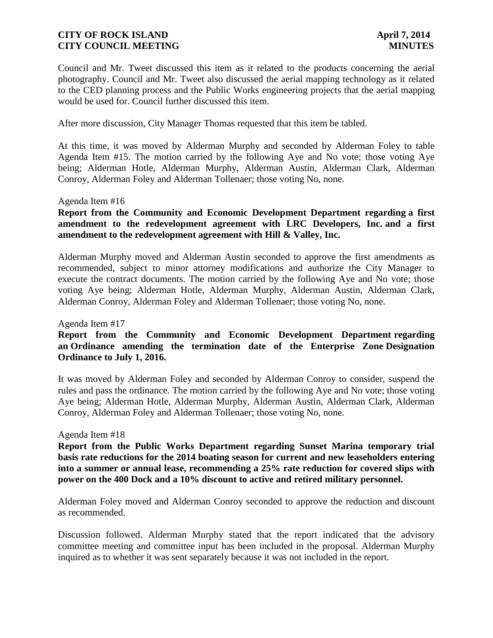Council and Mr. Tweet discussed this item as it related to the products concerning the aerial photography. Council and Mr. Tweet also discussed the aerial mapping technology as it related to the CED planning process and the Public Works engineering projects that the aerial mapping would be used for. Council further discussed this item.

After more discussion, City Manager Thomas requested that this item be tabled.

At this time, it was moved by Alderman Murphy and seconded by Alderman Foley to table Agenda Item #15. The motion carried by the following Aye and No vote; those voting Aye being; Alderman Hotle, Alderman Murphy, Alderman Austin, Alderman Clark, Alderman Conroy, Alderman Foley and Alderman Tollenaer; those voting No, none.

#### Agenda Item #16

# **Report from the Community and Economic Development Department regarding a first amendment to the redevelopment agreement with LRC Developers, Inc. and a first amendment to the redevelopment agreement with Hill & Valley, Inc.**

Alderman Murphy moved and Alderman Austin seconded to approve the first amendments as recommended, subject to minor attorney modifications and authorize the City Manager to execute the contract documents. The motion carried by the following Aye and No vote; those voting Aye being; Alderman Hotle, Alderman Murphy, Alderman Austin, Alderman Clark, Alderman Conroy, Alderman Foley and Alderman Tollenaer; those voting No, none.

#### Agenda Item #17

# **Report from the Community and Economic Development Department regarding an Ordinance amending the termination date of the Enterprise Zone Designation Ordinance to July 1, 2016.**

It was moved by Alderman Foley and seconded by Alderman Conroy to consider, suspend the rules and pass the ordinance. The motion carried by the following Aye and No vote; those voting Aye being; Alderman Hotle, Alderman Murphy, Alderman Austin, Alderman Clark, Alderman Conroy, Alderman Foley and Alderman Tollenaer; those voting No, none.

#### Agenda Item #18

**Report from the Public Works Department regarding Sunset Marina temporary trial basis rate reductions for the 2014 boating season for current and new leaseholders entering into a summer or annual lease, recommending a 25% rate reduction for covered slips with power on the 400 Dock and a 10% discount to active and retired military personnel.**

Alderman Foley moved and Alderman Conroy seconded to approve the reduction and discount as recommended.

Discussion followed. Alderman Murphy stated that the report indicated that the advisory committee meeting and committee input has been included in the proposal. Alderman Murphy inquired as to whether it was sent separately because it was not included in the report.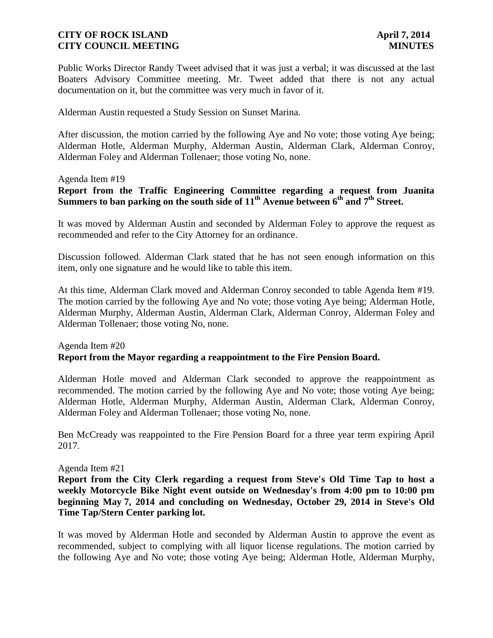Public Works Director Randy Tweet advised that it was just a verbal; it was discussed at the last Boaters Advisory Committee meeting. Mr. Tweet added that there is not any actual documentation on it, but the committee was very much in favor of it.

Alderman Austin requested a Study Session on Sunset Marina.

After discussion, the motion carried by the following Aye and No vote; those voting Aye being; Alderman Hotle, Alderman Murphy, Alderman Austin, Alderman Clark, Alderman Conroy, Alderman Foley and Alderman Tollenaer; those voting No, none.

#### Agenda Item #19

**Report from the Traffic Engineering Committee regarding a request from Juanita Summers to ban parking on the south side of 11th Avenue between 6th and 7th Street.** 

It was moved by Alderman Austin and seconded by Alderman Foley to approve the request as recommended and refer to the City Attorney for an ordinance.

Discussion followed. Alderman Clark stated that he has not seen enough information on this item, only one signature and he would like to table this item.

At this time, Alderman Clark moved and Alderman Conroy seconded to table Agenda Item #19. The motion carried by the following Aye and No vote; those voting Aye being; Alderman Hotle, Alderman Murphy, Alderman Austin, Alderman Clark, Alderman Conroy, Alderman Foley and Alderman Tollenaer; those voting No, none.

# Agenda Item #20 **Report from the Mayor regarding a reappointment to the Fire Pension Board.**

Alderman Hotle moved and Alderman Clark seconded to approve the reappointment as recommended. The motion carried by the following Aye and No vote; those voting Aye being; Alderman Hotle, Alderman Murphy, Alderman Austin, Alderman Clark, Alderman Conroy, Alderman Foley and Alderman Tollenaer; those voting No, none.

Ben McCready was reappointed to the Fire Pension Board for a three year term expiring April 2017.

#### Agenda Item #21

**Report from the City Clerk regarding a request from Steve's Old Time Tap to host a weekly Motorcycle Bike Night event outside on Wednesday's from 4:00 pm to 10:00 pm beginning May 7, 2014 and concluding on Wednesday, October 29, 2014 in Steve's Old Time Tap/Stern Center parking lot.**

It was moved by Alderman Hotle and seconded by Alderman Austin to approve the event as recommended, subject to complying with all liquor license regulations. The motion carried by the following Aye and No vote; those voting Aye being; Alderman Hotle, Alderman Murphy,